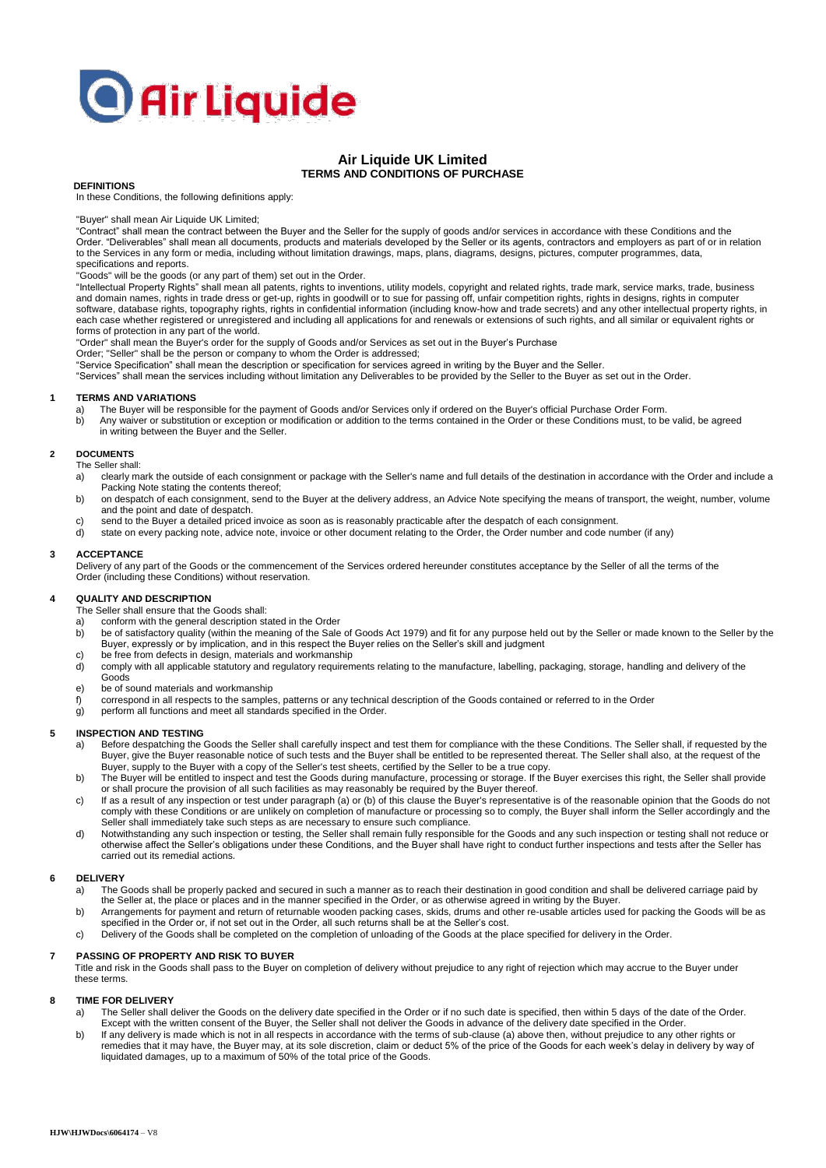# **O** Air Liquide

## **Air Liquide UK Limited TERMS AND CONDITIONS OF PURCHASE**

#### **DEFINITIONS**

In these Conditions, the following definitions apply:

"Buyer" shall mean Air Liquide UK Limited;

"Contract" shall mean the contract between the Buyer and the Seller for the supply of goods and/or services in accordance with these Conditions and the<br>Order. "Deliverables" shall mean all documents, products and materials to the Services in any form or media, including without limitation drawings, maps, plans, diagrams, designs, pictures, computer programmes, data, specifications and reports.

"Goods" will be the goods (or any part of them) set out in the Order.

"Intellectual Property Rights" shall mean all patents, rights to inventions, utility models, copyright and related rights, trade mark, service marks, trade, business and domain names, rights in trade dress or get-up, rights in goodwill or to sue for passing off, unfair competition rights, rights in designs, rights in computer<br>software, database rights, topography rights, rights in conf each case whether registered or unregistered and including all applications for and renewals or extensions of such rights, and all similar or equivalent rights or forms of protection in any part of the world.

"Order" shall mean the Buyer's order for the supply of Goods and/or Services as set out in the Buyer's Purchase Order; "Seller" shall be the person or company to whom the Order is addressed;

"Service Specification" shall mean the description or specification for services agreed in writing by the Buyer and the Seller.

"Services" shall mean the services including without limitation any Deliverables to be provided by the Seller to the Buyer as set out in the Order.

#### **1 TERMS AND VARIATIONS**

- a) The Buyer will be responsible for the payment of Goods and/or Services only if ordered on the Buyer's official Purchase Order Form.<br>b) Any waiver or substitution or exception or modification or addition to the terms con
- b) Any waiver or substitution or exception or modification or addition to the terms contained in the Order or these Conditions must, to be valid, be agreed in writing between the Buyer and the Seller.

#### **2 DOCUMENTS**

The Seller shall:

- a) clearly mark the outside of each consignment or package with the Seller's name and full details of the destination in accordance with the Order and include a Packing Note stating the contents thereof;
- b) on despatch of each consignment, send to the Buyer at the delivery address, an Advice Note specifying the means of transport, the weight, number, volume and the point and date of despatch.
- c) send to the Buyer a detailed priced invoice as soon as is reasonably practicable after the despatch of each consignment.
- d) state on every packing note, advice note, invoice or other document relating to the Order, the Order number and code number (if any)

#### **3 ACCEPTANCE**

Delivery of any part of the Goods or the commencement of the Services ordered hereunder constitutes acceptance by the Seller of all the terms of the Order (including these Conditions) without reservation.

#### **4 QUALITY AND DESCRIPTION**

The Seller shall ensure that the Goods shall:

- a) conform with the general description stated in the Order
- b) be of satisfactory quality (within the meaning of the Sale of Goods Act 1979) and fit for any purpose held out by the Seller or made known to the Seller by the Buyer, expressly or by implication, and in this respect the Buyer relies on the Seller's skill and judgment
- c) be free from defects in design, materials and workmanship
- d) comply with all applicable statutory and regulatory requirements relating to the manufacture, labelling, packaging, storage, handling and delivery of the Goods
- e) be of sound materials and workmanship
- f) correspond in all respects to the samples, patterns or any technical description of the Goods contained or referred to in the Order
- g) perform all functions and meet all standards specified in the Order.

#### **5 INSPECTION AND TESTING**

- a) Before despatching the Goods the Seller shall carefully inspect and test them for compliance with the these Conditions. The Seller shall, if requested by the Buyer, give the Buyer reasonable notice of such tests and the Buyer shall be entitled to be represented thereat. The Seller shall also, at the request of the Buyer, supply to the Buyer with a copy of the Seller's test sheets, certified by the Seller to be a true copy.
- b) The Buyer will be entitled to inspect and test the Goods during manufacture, processing or storage. If the Buyer exercises this right, the Seller shall provide or shall procure the provision of all such facilities as may reasonably be required by the Buyer thereof.
- c) If as a result of any inspection or test under paragraph (a) or (b) of this clause the Buyer's representative is of the reasonable opinion that the Goods do not comply with these Conditions or are unlikely on completion of manufacture or processing so to comply, the Buyer shall inform the Seller accordingly and the<br>Seller shall immediately take such steps as are necessary to ensur
- d) Notwithstanding any such inspection or testing, the Seller shall remain fully responsible for the Goods and any such inspection or testing shall not reduce or otherwise affect the Seller's obligations under these Conditions, and the Buyer shall have right to conduct further inspections and tests after the Seller has carried out its remedial actions.

#### **6 DELIVERY**

- a) The Goods shall be properly packed and secured in such a manner as to reach their destination in good condition and shall be delivered carriage paid by<br>the Seller at, the place or places and in the manner specified in t
- b) Arrangements for payment and return of returnable wooden packing cases, skids, drums and other re-usable articles used for packing the Goods will be as specified in the Order or, if not set out in the Order, all such returns shall be at the Seller's cost.
- c) Delivery of the Goods shall be completed on the completion of unloading of the Goods at the place specified for delivery in the Order.

#### **7 PASSING OF PROPERTY AND RISK TO BUYER**

Title and risk in the Goods shall pass to the Buyer on completion of delivery without prejudice to any right of rejection which may accrue to the Buyer under these terms.

#### **8 TIME FOR DELIVERY**

- a) The Seller shall deliver the Goods on the delivery date specified in the Order or if no such date is specified, then within 5 days of the date of the Order. Except with the written consent of the Buyer, the Seller shall not deliver the Goods in advance of the delivery date specified in the Order.
- b) If any delivery is made which is not in all respects in accordance with the terms of sub-clause (a) above then, without prejudice to any other rights or remedies that it may have, the Buyer may, at its sole discretion, claim or deduct 5% of the price of the Goods for each week's delay in delivery by way of<br>liquidated damages, up to a maximum of 50% of the total price of th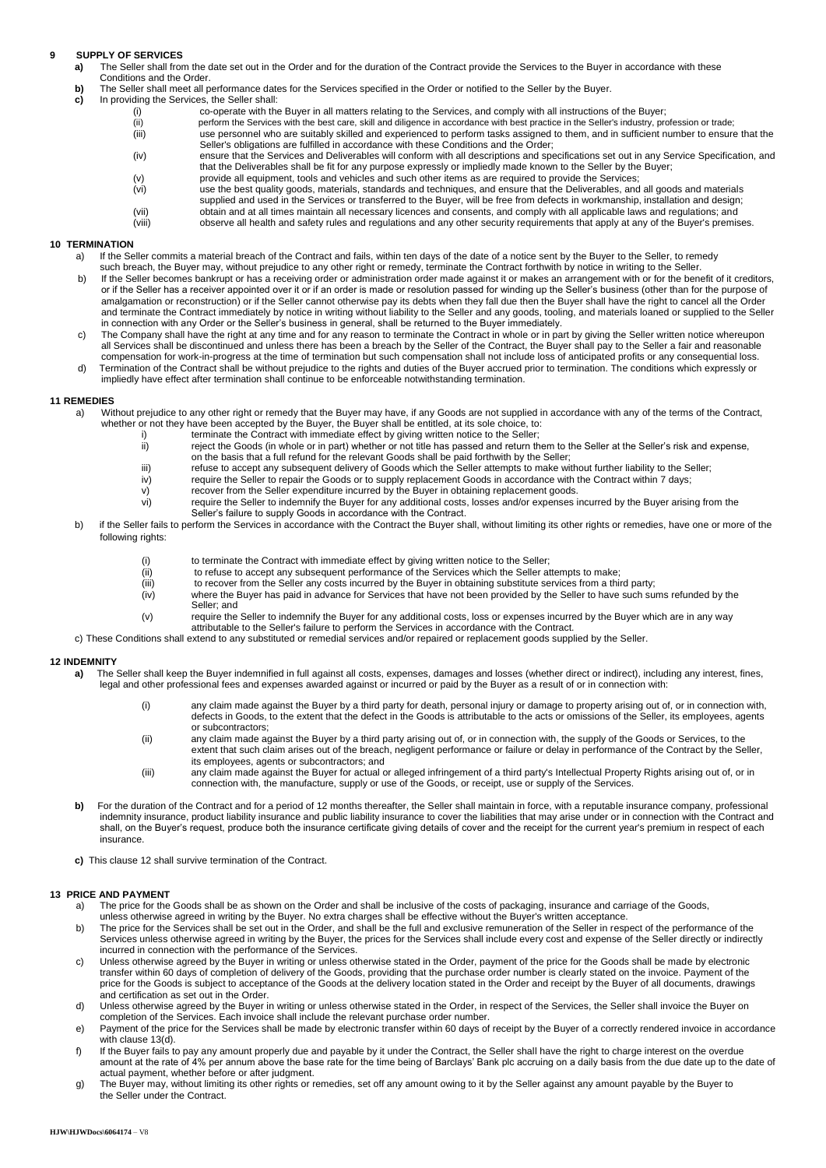# **9 SUPPLY OF SERVICES**

- **a)** The Seller shall from the date set out in the Order and for the duration of the Contract provide the Services to the Buyer in accordance with these Conditions and the Order.
- **b)** The Seller shall meet all performance dates for the Services specified in the Order or notified to the Seller by the Buyer.<br> **c)** In providing the Services, the Seller shall:
- **c)** In providing the Services, the Seller shall:
	- co-operate with the Buyer in all matters relating to the Services, and comply with all instructions of the Buyer;
	- (ii) perform the Services with the best care, skill and diligence in accordance with best practice in the Seller's industry, profession or trade; (iii) use personnel who are suitably skilled and experienced to perform tasks assigned to them, and in sufficient number to ensure that the<br>Seller's obligations are fulfilled in accordance with these Conditions and the Ord
	- (iv) ensure that the Services and Deliverables will conform with all descriptions and specifications set out in any Service Specification, and that the Deliverables shall be fit for any purpose expressly or impliedly made known to the Seller by the Buyer;
	- (v) provide all equipment, tools and vehicles and such other items as are required to provide the Services<br>(vi) use the best quality goods, materials, standards and techniques, and ensure that the Deliverables, and
	- use the best quality goods, materials, standards and techniques, and ensure that the Deliverables, and all goods and materials
	- supplied and used in the Services or transferred to the Buyer, will be free from defects in workmanship, installation and design; (vii) obtain and at all times maintain all necessary licences and consents, and comply with all applicable laws and regulations; and
	- (viii) observe all health and safety rules and regulations and any other security requirements that apply at any of the Buyer's premises.

#### **10 TERMINATION**

- a) If the Seller commits a material breach of the Contract and fails, within ten days of the date of a notice sent by the Buyer to the Seller, to remedy such breach, the Buyer may, without prejudice to any other right or remedy, terminate the Contract forthwith by notice in writing to the Seller.
- b) If the Seller becomes bankrupt or has a receiving order or administration order made against it or makes an arrangement with or for the benefit of it creditors, or if the Seller has a receiver appointed over it or if an order is made or resolution passed for winding up the Seller's business (other than for the purpose of amalgamation or reconstruction) or if the Seller cannot otherwise pay its debts when they fall due then the Buyer shall have the right to cancel all the Order and terminate the Contract immediately by notice in writing without liability to the Seller and any goods, tooling, and materials loaned or supplied to the Seller in connection with any Order or the Seller's business in general, shall be returned to the Buyer immediately.
- c) The Company shall have the right at any time and for any reason to terminate the Contract in whole or in part by giving the Seller written notice whereupon all Services shall be discontinued and unless there has been a breach by the Seller of the Contract, the Buyer shall pay to the Seller a fair and reasonable compensation for work-in-progress at the time of termination but such compensation shall not include loss of anticipated profits or any consequential loss.
- d) Termination of the Contract shall be without prejudice to the rights and duties of the Buyer accrued prior to termination. The conditions which expressly or impliedly have effect after termination shall continue to be enforceable notwithstanding termination.

#### **11 REMEDIES**

- a) Without prejudice to any other right or remedy that the Buyer may have, if any Goods are not supplied in accordance with any of the terms of the Contract, whether or not they have been accepted by the Buyer, the Buyer shall be entitled, at its sole choice, to:
	- - i) terminate the Contract with immediate effect by giving written notice to the Seller;<br>ii) reject the Goods (in whole or in part) whether or not title has passed and return th reject the Goods (in whole or in part) whether or not title has passed and return them to the Seller at the Seller's risk and expense, on the basis that a full refund for the relevant Goods shall be paid forthwith by the Seller;
		-
		- iii) refuse to accept any subsequent delivery of Goods which the Seller attempts to make without further liability to the Seller;<br>iv) require the Seller to repair the Goods or to supply replacement Goods in accordance with iv) require the Seller to repair the Goods or to supply replacement Goods in accordance with the Contract within 7 days;<br>v) require the Seller expenditure incurred by the Buyer in obtaining replacement goods.
		- v) recover from the Seller expenditure incurred by the Buyer in obtaining replacement goods.<br>vi) require the Seller to indemnify the Buyer for any additional costs, losses and/or expenses
		- require the Seller to indemnify the Buyer for any additional costs, losses and/or expenses incurred by the Buyer arising from the Seller's failure to supply Goods in accordance with the Contract.
- b) if the Seller fails to perform the Services in accordance with the Contract the Buyer shall, without limiting its other rights or remedies, have one or more of the following rights:
	- (i) to terminate the Contract with immediate effect by giving written notice to the Seller;<br>(ii) to refuse to accept any subsequent performance of the Services which the Seller at
	- (ii) to refuse to accept any subsequent performance of the Services which the Seller attempts to make;<br>(iii) to recover from the Seller any costs incurred by the Buyer in obtaining substitute services from a thir
	- $\frac{\overline{v}}{\overline{v}}$  to recover from the Seller any costs incurred by the Buyer in obtaining substitute services from a third party;<br>(iv) where the Buyer has paid in advance for Services that have not been provided by the Sel
	- where the Buyer has paid in advance for Services that have not been provided by the Seller to have such sums refunded by the Seller; and
	- (v) require the Seller to indemnify the Buyer for any additional costs, loss or expenses incurred by the Buyer which are in any way attributable to the Seller's failure to perform the Services in accordance with the Contract.
- c) These Conditions shall extend to any substituted or remedial services and/or repaired or replacement goods supplied by the Seller.

#### **12 INDEMNITY**

- a) The Seller shall keep the Buyer indemnified in full against all costs, expenses, damages and losses (whether direct or indirect), including any interest, fines, legal and other professional fees and expenses awarded against or incurred or paid by the Buyer as a result of or in connection with:
	- (i) any claim made against the Buyer by a third party for death, personal injury or damage to property arising out of, or in connection with,<br>defects in Goods, to the extent that the defect in the Goods is attributable to or subcontractors;
	- (ii) any claim made against the Buyer by a third party arising out of, or in connection with, the supply of the Goods or Services, to the extent that such claim arises out of the breach, negligent performance or failure or delay in performance of the Contract by the Seller, its employees, agents or subcontractors; and
	- (iii) any claim made against the Buyer for actual or alleged infringement of a third party's Intellectual Property Rights arising out of, or in<br>connection with, the manufacture, supply or use of the Goods, or receipt, use
- **b)** For the duration of the Contract and for a period of 12 months thereafter, the Seller shall maintain in force, with a reputable insurance company, professional indemnity insurance, product liability insurance and public liability insurance to cover the liabilities that may arise under or in connection with the Contract and shall, on the Buyer's request, produce both the insurance certificate giving details of cover and the receipt for the current year's premium in respect of each insurance.
- **c)** This clause 12 shall survive termination of the Contract.

#### **13 PRICE AND PAYMENT**

- a) The price for the Goods shall be as shown on the Order and shall be inclusive of the costs of packaging, insurance and carriage of the Goods, unless otherwise agreed in writing by the Buyer. No extra charges shall be effective without the Buyer's written acceptance.
- b) The price for the Services shall be set out in the Order, and shall be the full and exclusive remuneration of the Seller in respect of the performance of the<br>Services unless otherwise agreed in writing by the Buyer, the incurred in connection with the performance of the Services.
- c) Unless otherwise agreed by the Buyer in writing or unless otherwise stated in the Order, payment of the price for the Goods shall be made by electronic transfer within 60 days of completion of delivery of the Goods, providing that the purchase order number is clearly stated on the invoice. Payment of the price for the Goods is subject to acceptance of the Goods at the delivery location stated in the Order and receipt by the Buyer of all documents, drawings and certification as set out in the Order.
- d) Unless otherwise agreed by the Buyer in writing or unless otherwise stated in the Order, in respect of the Services, the Seller shall invoice the Buyer on completion of the Services. Each invoice shall invoice shall inv
- e) Payment of the price for the Services shall be made by electronic transfer within 60 days of receipt by the Buyer of a correctly rendered invoice in accordance with clause 13(d).
- f) If the Buyer fails to pay any amount properly due and payable by it under the Contract, the Seller shall have the right to charge interest on the overdue amount at the rate of 4% per annum above the base rate for the time being of Barclays' Bank plc accruing on a daily basis from the due date up to the date of actual payment, whether before or after judgment.
- g) The Buyer may, without limiting its other rights or remedies, set off any amount owing to it by the Seller against any amount payable by the Buyer to the Seller under the Contract.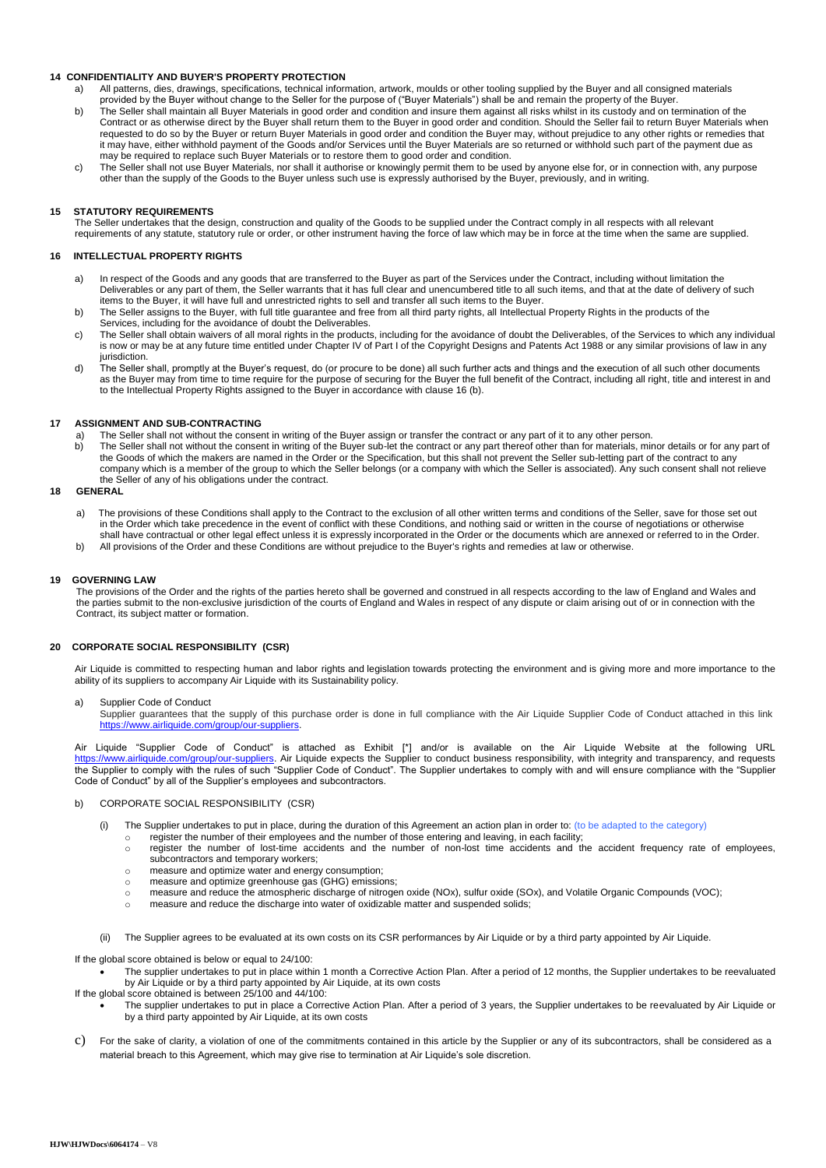#### **14 CONFIDENTIALITY AND BUYER'S PROPERTY PROTECTION**

a) All patterns, dies, drawings, specifications, technical information, artwork, moulds or other tooling supplied by the Buyer and all consigned materials provided by the Buyer without change to the Seller for the purpose of ("Buyer Materials") shall be and remain the property of the Buyer.

- b) The Seller shall maintain all Buyer Materials in good order and condition and insure them against all risks whilst in its custody and on termination of the Contract or as otherwise direct by the Buyer shall return them to the Buyer in good order and condition. Should the Seller fail to return Buyer Materials when requested to do so by the Buyer or return Buyer Materials in good order and condition the Buyer may, without prejudice to any other rights or remedies that it may have, either withhold payment of the Goods and/or Services until the Buyer Materials are so returned or withhold such part of the payment due as may be required to replace such Buyer Materials or to restore them to good order and condition.
- c) The Seller shall not use Buyer Materials, nor shall it authorise or knowingly permit them to be used by anyone else for, or in connection with, any purpose other than the supply of the Goods to the Buyer unless such use is expressly authorised by the Buyer, previously, and in writing.

#### **15 STATUTORY REQUIREMENTS**

The Seller undertakes that the design, construction and quality of the Goods to be supplied under the Contract comply in all respects with all relevant requirements of any statute, statutory rule or order, or other instrument having the force of law which may be in force at the time when the same are supplied.

#### **16 INTELLECTUAL PROPERTY RIGHTS**

- a) In respect of the Goods and any goods that are transferred to the Buyer as part of the Services under the Contract, including without limitation the Deliverables or any part of them, the Seller warrants that it has full clear and unencumbered title to all such items, and that at the date of delivery of such<br>items to the Buyer, it will have full and unrestricted rights
- b) The Seller assigns to the Buyer, with full title guarantee and free from all third party rights, all Intellectual Property Rights in the products of the Services, including for the avoidance of doubt the Deliverables.
- c) The Seller shall obtain waivers of all moral rights in the products, including for the avoidance of doubt the Deliverables, of the Services to which any individual is now or may be at any future time entitled under Chapter IV of Part I of the Copyright Designs and Patents Act 1988 or any similar provisions of law in any jurisdiction.
- d) The Seller shall, promptly at the Buyer's request, do (or procure to be done) all such further acts and things and the execution of all such other documents as the Buyer may from time to time require for the purpose of securing for the Buyer the full benefit of the Contract, including all right, title and interest in and to the Intellectual Property Rights assigned to the Buyer in accordance with clause 16 (b).

#### **17 ASSIGNMENT AND SUB-CONTRACTING**

- a) The Seller shall not without the consent in writing of the Buyer assign or transfer the contract or any part of it to any other person.
- b) The Seller shall not without the consent in writing of the Buyer sub-let the contract or any part thereof other than for materials, minor details or for any part of<br>the Goods of which the makers are named in the Order o company which is a member of the group to which the Seller belongs (or a company with which the Seller is associated). Any such consent shall not relieve the Seller of any of his obligations under the contract.

#### **18 GENERAL**

- a) The provisions of these Conditions shall apply to the Contract to the exclusion of all other written terms and conditions of the Seller, save for those set out in the Order which take precedence in the event of conflict with these Conditions, and nothing said or written in the course of negotiations or otherwise shall have contractual or other legal effect unless it is expressly incorporated in the Order or the documents which are annexed or referred to in the Order.
- b) All provisions of the Order and these Conditions are without prejudice to the Buyer's rights and remedies at law or otherwise.

#### **19 GOVERNING LAW**

The provisions of the Order and the rights of the parties hereto shall be governed and construed in all respects according to the law of England and Wales and the parties submit to the non-exclusive jurisdiction of the courts of England and Wales in respect of any dispute or claim arising out of or in connection with the Contract, its subject matter or formation.

#### **20 CORPORATE SOCIAL RESPONSIBILITY (CSR)**

Air Liquide is committed to respecting human and labor rights and legislation towards protecting the environment and is giving more and more importance to the ability of its suppliers to accompany Air Liquide with its Sustainability policy.

a) Supplier Code of Conduct

Supplier guarantees that the supply of this purchase order is done in full compliance with the Air Liquide Supplier Code of Conduct attached in this link ://www.airliquide.com/group/our-suppliers.

Air Liquide "Supplier Code of Conduct" is attached as Exhibit [\*] and/or is available on the Air Liquide Website at the following URL [https://www.airliquide.com/group/our-suppliers.](https://www.airliquide.com/group/our-suppliers) Air Liquide expects the Supplier to conduct business responsibility, with integrity and transparency, and requests the Supplier to comply with the rules of such "Supplier Code of Conduct". The Supplier undertakes to comply with and will ensure compliance with the "Supplier Code of Conduct" by all of the Supplier's employees and subcontractors.

- b) CORPORATE SOCIAL RESPONSIBILITY (CSR)
	- (i) The Supplier undertakes to put in place, during the duration of this Agreement an action plan in order to: (to be adapted to the category)
		- o register the number of their employees and the number of those entering and leaving, in each facility;
		- o register the number of lost-time accidents and the number of non-lost time accidents and the accident frequency rate of employees, subcontractors and temporary workers;
		- o measure and optimize water and energy consumption;
		- o measure and optimize greenhouse gas (GHG) emissions;
		- o measure and reduce the atmospheric discharge of nitrogen oxide (NOx), sulfur oxide (SOx), and Volatile Organic Compounds (VOC);
		- $\circ$  measure and reduce the discharge into water of oxidizable matter and suspended solids;
	- The Supplier agrees to be evaluated at its own costs on its CSR performances by Air Liquide or by a third party appointed by Air Liquide.

If the global score obtained is below or equal to 24/100:

- The supplier undertakes to put in place within 1 month a Corrective Action Plan. After a period of 12 months, the Supplier undertakes to be reevaluated by Air Liquide or by a third party appointed by Air Liquide, at its own costs
- If the global score obtained is between 25/100 and 44/100:
	- The supplier undertakes to put in place a Corrective Action Plan. After a period of 3 years, the Supplier undertakes to be reevaluated by Air Liquide or by a third party appointed by Air Liquide, at its own costs
- c) For the sake of clarity, a violation of one of the commitments contained in this article by the Supplier or any of its subcontractors, shall be considered as a material breach to this Agreement, which may give rise to termination at Air Liquide's sole discretion.